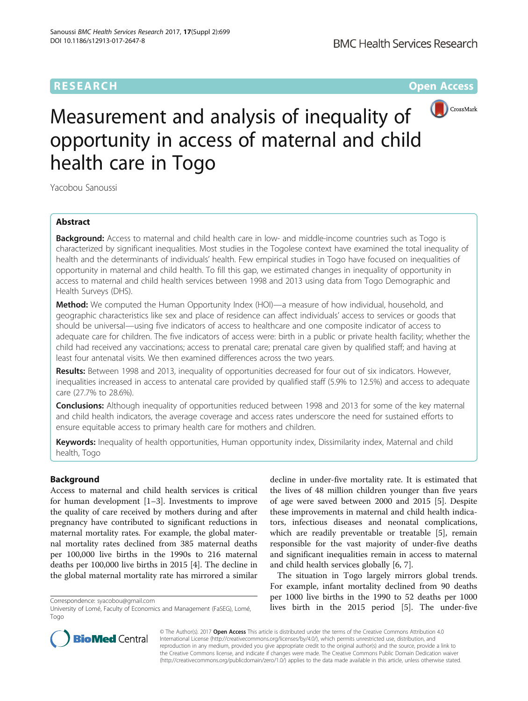## **RESEARCH RESEARCH** *RESEARCH*



# Measurement and analysis of inequality of opportunity in access of maternal and child health care in Togo

Yacobou Sanoussi

## Abstract

**Background:** Access to maternal and child health care in low- and middle-income countries such as Togo is characterized by significant inequalities. Most studies in the Togolese context have examined the total inequality of health and the determinants of individuals' health. Few empirical studies in Togo have focused on inequalities of opportunity in maternal and child health. To fill this gap, we estimated changes in inequality of opportunity in access to maternal and child health services between 1998 and 2013 using data from Togo Demographic and Health Surveys (DHS).

Method: We computed the Human Opportunity Index (HOI)—a measure of how individual, household, and geographic characteristics like sex and place of residence can affect individuals' access to services or goods that should be universal—using five indicators of access to healthcare and one composite indicator of access to adequate care for children. The five indicators of access were: birth in a public or private health facility; whether the child had received any vaccinations; access to prenatal care; prenatal care given by qualified staff; and having at least four antenatal visits. We then examined differences across the two years.

Results: Between 1998 and 2013, inequality of opportunities decreased for four out of six indicators. However, inequalities increased in access to antenatal care provided by qualified staff (5.9% to 12.5%) and access to adequate care (27.7% to 28.6%).

**Conclusions:** Although inequality of opportunities reduced between 1998 and 2013 for some of the key maternal and child health indicators, the average coverage and access rates underscore the need for sustained efforts to ensure equitable access to primary health care for mothers and children.

Keywords: Inequality of health opportunities, Human opportunity index, Dissimilarity index, Maternal and child health, Togo

## Background

Access to maternal and child health services is critical for human development [\[1](#page-5-0)–[3](#page-5-0)]. Investments to improve the quality of care received by mothers during and after pregnancy have contributed to significant reductions in maternal mortality rates. For example, the global maternal mortality rates declined from 385 maternal deaths per 100,000 live births in the 1990s to 216 maternal deaths per 100,000 live births in 2015 [[4\]](#page-5-0). The decline in the global maternal mortality rate has mirrored a similar

decline in under-five mortality rate. It is estimated that the lives of 48 million children younger than five years of age were saved between 2000 and 2015 [\[5](#page-5-0)]. Despite these improvements in maternal and child health indicators, infectious diseases and neonatal complications, which are readily preventable or treatable [[5](#page-5-0)], remain responsible for the vast majority of under-five deaths and significant inequalities remain in access to maternal and child health services globally [\[6, 7\]](#page-5-0).

The situation in Togo largely mirrors global trends. For example, infant mortality declined from 90 deaths per 1000 live births in the 1990 to 52 deaths per 1000 Correspondence: syacobou@gmail.com<br>University of Lomé, Faculty of Economics and Management (FaSEG), Lomé, lives birth in the 2015 period [[5\]](#page-5-0). The under-five



© The Author(s). 2017 **Open Access** This article is distributed under the terms of the Creative Commons Attribution 4.0 International License [\(http://creativecommons.org/licenses/by/4.0/](http://creativecommons.org/licenses/by/4.0/)), which permits unrestricted use, distribution, and reproduction in any medium, provided you give appropriate credit to the original author(s) and the source, provide a link to the Creative Commons license, and indicate if changes were made. The Creative Commons Public Domain Dedication waiver [\(http://creativecommons.org/publicdomain/zero/1.0/](http://creativecommons.org/publicdomain/zero/1.0/)) applies to the data made available in this article, unless otherwise stated.

University of Lomé, Faculty of Economics and Management (FaSEG), Lomé, Togo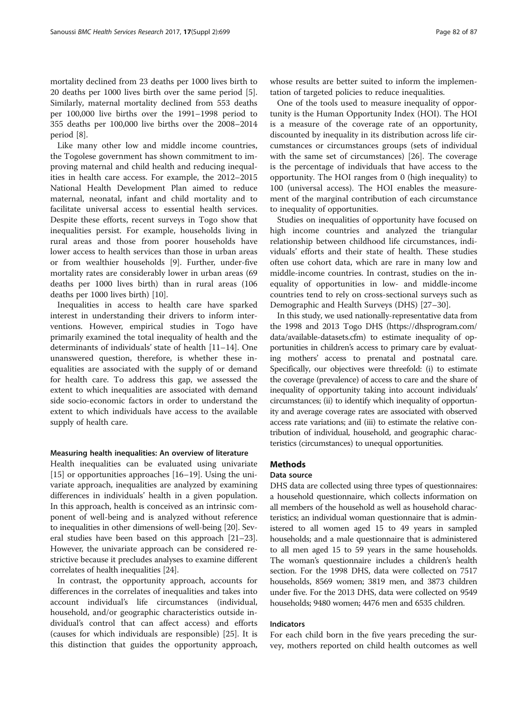mortality declined from 23 deaths per 1000 lives birth to 20 deaths per 1000 lives birth over the same period [\[5](#page-5-0)]. Similarly, maternal mortality declined from 553 deaths per 100,000 live births over the 1991–1998 period to 355 deaths per 100,000 live births over the 2008–2014 period [[8\]](#page-5-0).

Like many other low and middle income countries, the Togolese government has shown commitment to improving maternal and child health and reducing inequalities in health care access. For example, the 2012–2015 National Health Development Plan aimed to reduce maternal, neonatal, infant and child mortality and to facilitate universal access to essential health services. Despite these efforts, recent surveys in Togo show that inequalities persist. For example, households living in rural areas and those from poorer households have lower access to health services than those in urban areas or from wealthier households [[9\]](#page-5-0). Further, under-five mortality rates are considerably lower in urban areas (69 deaths per 1000 lives birth) than in rural areas (106 deaths per 1000 lives birth) [[10](#page-5-0)].

Inequalities in access to health care have sparked interest in understanding their drivers to inform interventions. However, empirical studies in Togo have primarily examined the total inequality of health and the determinants of individuals' state of health [[11](#page-5-0)–[14](#page-6-0)]. One unanswered question, therefore, is whether these inequalities are associated with the supply of or demand for health care. To address this gap, we assessed the extent to which inequalities are associated with demand side socio-economic factors in order to understand the extent to which individuals have access to the available supply of health care.

## Measuring health inequalities: An overview of literature

Health inequalities can be evaluated using univariate [[15\]](#page-6-0) or opportunities approaches [\[16](#page-6-0)–[19\]](#page-6-0). Using the univariate approach, inequalities are analyzed by examining differences in individuals' health in a given population. In this approach, health is conceived as an intrinsic component of well-being and is analyzed without reference to inequalities in other dimensions of well-being [[20](#page-6-0)]. Several studies have been based on this approach [\[21](#page-6-0)–[23](#page-6-0)]. However, the univariate approach can be considered restrictive because it precludes analyses to examine different correlates of health inequalities [[24](#page-6-0)].

In contrast, the opportunity approach, accounts for differences in the correlates of inequalities and takes into account individual's life circumstances (individual, household, and/or geographic characteristics outside individual's control that can affect access) and efforts (causes for which individuals are responsible) [[25\]](#page-6-0). It is this distinction that guides the opportunity approach,

whose results are better suited to inform the implementation of targeted policies to reduce inequalities.

One of the tools used to measure inequality of opportunity is the Human Opportunity Index (HOI). The HOI is a measure of the coverage rate of an opportunity, discounted by inequality in its distribution across life circumstances or circumstances groups (sets of individual with the same set of circumstances) [[26](#page-6-0)]. The coverage is the percentage of individuals that have access to the opportunity. The HOI ranges from 0 (high inequality) to 100 (universal access). The HOI enables the measurement of the marginal contribution of each circumstance to inequality of opportunities.

Studies on inequalities of opportunity have focused on high income countries and analyzed the triangular relationship between childhood life circumstances, individuals' efforts and their state of health. These studies often use cohort data, which are rare in many low and middle-income countries. In contrast, studies on the inequality of opportunities in low- and middle-income countries tend to rely on cross-sectional surveys such as Demographic and Health Surveys (DHS) [[27](#page-6-0)–[30](#page-6-0)].

In this study, we used nationally-representative data from the 1998 and 2013 Togo DHS [\(https://dhsprogram.com/](https://dhsprogram.com/data/available-datasets.cfm) [data/available-datasets.cfm\)](https://dhsprogram.com/data/available-datasets.cfm) to estimate inequality of opportunities in children's access to primary care by evaluating mothers' access to prenatal and postnatal care. Specifically, our objectives were threefold: (i) to estimate the coverage (prevalence) of access to care and the share of inequality of opportunity taking into account individuals' circumstances; (ii) to identify which inequality of opportunity and average coverage rates are associated with observed access rate variations; and (iii) to estimate the relative contribution of individual, household, and geographic characteristics (circumstances) to unequal opportunities.

## **Methods**

## Data source

DHS data are collected using three types of questionnaires: a household questionnaire, which collects information on all members of the household as well as household characteristics; an individual woman questionnaire that is administered to all women aged 15 to 49 years in sampled households; and a male questionnaire that is administered to all men aged 15 to 59 years in the same households. The woman's questionnaire includes a children's health section. For the 1998 DHS, data were collected on 7517 households, 8569 women; 3819 men, and 3873 children under five. For the 2013 DHS, data were collected on 9549 households; 9480 women; 4476 men and 6535 children.

## Indicators

For each child born in the five years preceding the survey, mothers reported on child health outcomes as well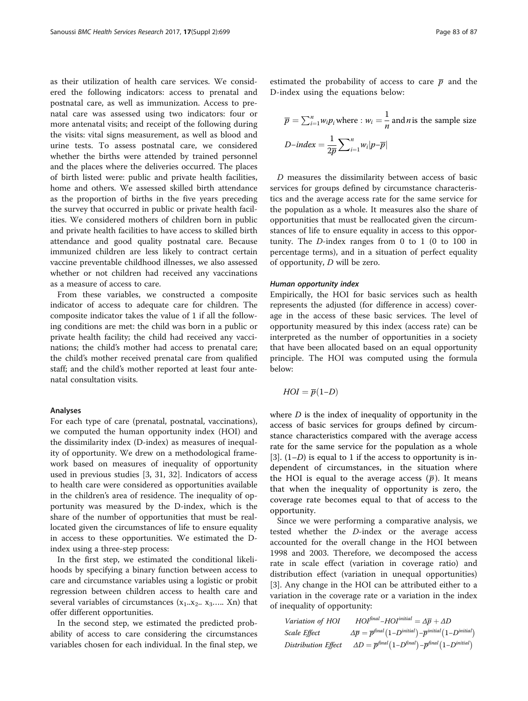as their utilization of health care services. We considered the following indicators: access to prenatal and postnatal care, as well as immunization. Access to prenatal care was assessed using two indicators: four or more antenatal visits; and receipt of the following during the visits: vital signs measurement, as well as blood and urine tests. To assess postnatal care, we considered whether the births were attended by trained personnel and the places where the deliveries occurred. The places of birth listed were: public and private health facilities, home and others. We assessed skilled birth attendance as the proportion of births in the five years preceding the survey that occurred in public or private health facilities. We considered mothers of children born in public and private health facilities to have access to skilled birth attendance and good quality postnatal care. Because immunized children are less likely to contract certain vaccine preventable childhood illnesses, we also assessed whether or not children had received any vaccinations as a measure of access to care.

From these variables, we constructed a composite indicator of access to adequate care for children. The composite indicator takes the value of 1 if all the following conditions are met: the child was born in a public or private health facility; the child had received any vaccinations; the child's mother had access to prenatal care; the child's mother received prenatal care from qualified staff; and the child's mother reported at least four antenatal consultation visits.

#### Analyses

For each type of care (prenatal, postnatal, vaccinations), we computed the human opportunity index (HOI) and the dissimilarity index (D-index) as measures of inequality of opportunity. We drew on a methodological framework based on measures of inequality of opportunity used in previous studies [[3,](#page-5-0) [31, 32](#page-6-0)]. Indicators of access to health care were considered as opportunities available in the children's area of residence. The inequality of opportunity was measured by the D-index, which is the share of the number of opportunities that must be reallocated given the circumstances of life to ensure equality in access to these opportunities. We estimated the Dindex using a three-step process:

In the first step, we estimated the conditional likelihoods by specifying a binary function between access to care and circumstance variables using a logistic or probit regression between children access to health care and several variables of circumstances  $(x_1..x_2..x_3....x_n)$  that offer different opportunities.

In the second step, we estimated the predicted probability of access to care considering the circumstances variables chosen for each individual. In the final step, we estimated the probability of access to care  $\bar{p}$  and the D-index using the equations below:

$$
\overline{p} = \sum_{i=1}^{n} w_i p_i
$$
 where :  $w_i = \frac{1}{n}$  and *n* is the sample size  

$$
D\text{-}index = \frac{1}{2\overline{p}} \sum_{i=1}^{n} w_i |p-\overline{p}|
$$

D measures the dissimilarity between access of basic services for groups defined by circumstance characteristics and the average access rate for the same service for the population as a whole. It measures also the share of opportunities that must be reallocated given the circumstances of life to ensure equality in access to this opportunity. The D-index ranges from 0 to 1 (0 to 100 in percentage terms), and in a situation of perfect equality of opportunity, D will be zero.

#### Human opportunity index

Empirically, the HOI for basic services such as health represents the adjusted (for difference in access) coverage in the access of these basic services. The level of opportunity measured by this index (access rate) can be interpreted as the number of opportunities in a society that have been allocated based on an equal opportunity principle. The HOI was computed using the formula below:

$$
HOI = \overline{p}(1{-}D)
$$

where  $D$  is the index of inequality of opportunity in the access of basic services for groups defined by circumstance characteristics compared with the average access rate for the same service for the population as a whole [[3\]](#page-5-0).  $(1-D)$  is equal to 1 if the access to opportunity is independent of circumstances, in the situation where the HOI is equal to the average access  $(\bar{p})$ . It means that when the inequality of opportunity is zero, the coverage rate becomes equal to that of access to the opportunity.

Since we were performing a comparative analysis, we tested whether the D-index or the average access accounted for the overall change in the HOI between 1998 and 2003. Therefore, we decomposed the access rate in scale effect (variation in coverage ratio) and distribution effect (variation in unequal opportunities) [[3\]](#page-5-0). Any change in the HOI can be attributed either to a variation in the coverage rate or a variation in the index of inequality of opportunity:

| Variation of HOI | $HOIfinal-HOIinitial = \Delta \overline{p} + \Delta D$                                                                                |
|------------------|---------------------------------------------------------------------------------------------------------------------------------------|
| Scale Effect     | $\Delta \overline{p} = \overline{p}^{\text{final}} (1 - D^{\text{initial}}) - \overline{p}^{\text{initial}} (1 - D^{\text{initial}})$ |
|                  | Distribution Effect $\Delta D = \overline{p}^{final}(1-D^{final})-\overline{p}^{final}(1-D^{initial})$                                |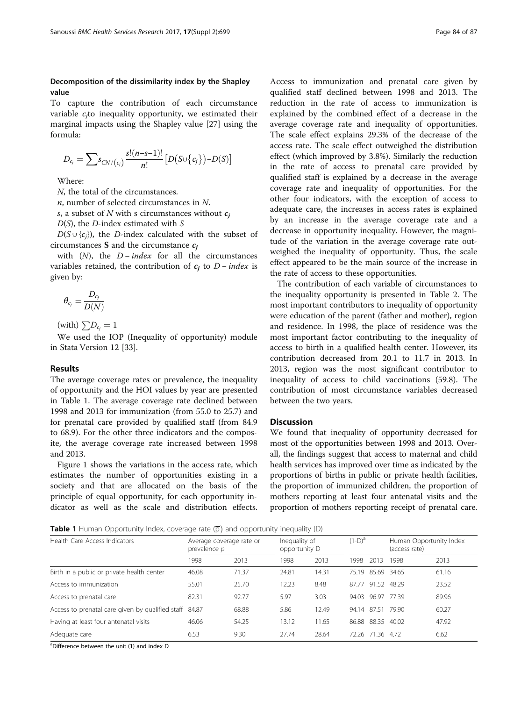## Decomposition of the dissimilarity index by the Shapley value

To capture the contribution of each circumstance variable  $c<sub>i</sub>$  to inequality opportunity, we estimated their marginal impacts using the Shapley value [[27\]](#page-6-0) using the formula:

$$
D_{c_j} = \sum s_{CN/(c_j)} \frac{s!(n-s-1)!}{n!} [D(S \cup \{c_j\}) - D(S)]
$$

Where:

N, the total of the circumstances.

 $n$ , number of selected circumstances in  $N$ .

s, a subset of  $N$  with s circumstances without  $c_i$ 

 $D(S)$ , the D-index estimated with S

 $D(S \cup \{c_i\})$ , the D-index calculated with the subset of circumstances  $S$  and the circumstance  $c_i$ 

with  $(N)$ , the  $D$  − index for all the circumstances variables retained, the contribution of  $c_i$  to  $D$  − index is given by:

$$
\theta_{c_j} = \frac{D_{c_j}}{D(N)}
$$

(with)  $\sum D_{c_i} = 1$ 

We used the IOP (Inequality of opportunity) module in Stata Version 12 [\[33](#page-6-0)].

### Results

The average coverage rates or prevalence, the inequality of opportunity and the HOI values by year are presented in Table 1. The average coverage rate declined between 1998 and 2013 for immunization (from 55.0 to 25.7) and for prenatal care provided by qualified staff (from 84.9 to 68.9). For the other three indicators and the composite, the average coverage rate increased between 1998 and 2013.

Figure [1](#page-4-0) shows the variations in the access rate, which estimates the number of opportunities existing in a society and that are allocated on the basis of the principle of equal opportunity, for each opportunity indicator as well as the scale and distribution effects.

Access to immunization and prenatal care given by qualified staff declined between 1998 and 2013. The reduction in the rate of access to immunization is explained by the combined effect of a decrease in the average coverage rate and inequality of opportunities. The scale effect explains 29.3% of the decrease of the access rate. The scale effect outweighed the distribution effect (which improved by 3.8%). Similarly the reduction in the rate of access to prenatal care provided by qualified staff is explained by a decrease in the average coverage rate and inequality of opportunities. For the other four indicators, with the exception of access to adequate care, the increases in access rates is explained by an increase in the average coverage rate and a decrease in opportunity inequality. However, the magnitude of the variation in the average coverage rate outweighed the inequality of opportunity. Thus, the scale effect appeared to be the main source of the increase in the rate of access to these opportunities.

The contribution of each variable of circumstances to the inequality opportunity is presented in Table [2](#page-4-0). The most important contributors to inequality of opportunity were education of the parent (father and mother), region and residence. In 1998, the place of residence was the most important factor contributing to the inequality of access to birth in a qualified health center. However, its contribution decreased from 20.1 to 11.7 in 2013. In 2013, region was the most significant contributor to inequality of access to child vaccinations (59.8). The contribution of most circumstance variables decreased between the two years.

## **Discussion**

We found that inequality of opportunity decreased for most of the opportunities between 1998 and 2013. Overall, the findings suggest that access to maternal and child health services has improved over time as indicated by the proportions of births in public or private health facilities, the proportion of immunized children, the proportion of mothers reporting at least four antenatal visits and the proportion of mothers reporting receipt of prenatal care.

**Table 1** Human Opportunity Index, coverage rate  $(\overline{p})$  and opportunity inequality (D)

| Health Care Access Indicators                          | Average coverage rate or<br>prevalence $\overline{p}$ |       | Inequality of<br>opportunity D |       | $(1-D)^a$   |                   | Human Opportunity Index<br>(access rate) |       |
|--------------------------------------------------------|-------------------------------------------------------|-------|--------------------------------|-------|-------------|-------------------|------------------------------------------|-------|
|                                                        | 1998                                                  | 2013  | 1998                           | 2013  | 1998        | 2013              | 1998                                     | 2013  |
| Birth in a public or private health center             | 46.08                                                 | 71.37 | 24.81                          | 14.31 | 75.19       | 85.69 34.65       |                                          | 61.16 |
| Access to immunization                                 | 55.01                                                 | 25.70 | 2.23                           | 8.48  |             | 87.77 91.52 48.29 |                                          | 23.52 |
| Access to prenatal care                                | 82.31                                                 | 92.77 | 5.97                           | 3.03  |             | 94.03 96.97 77.39 |                                          | 89.96 |
| Access to prenatal care given by qualified staff 84.87 |                                                       | 68.88 | 5.86                           | 12.49 | 94.14 87.51 |                   | 79.90                                    | 60.27 |
| Having at least four antenatal visits                  | 46.06                                                 | 54.25 | 13.12                          | 11.65 |             | 86.88 88.35 40.02 |                                          | 47.92 |
| Adequate care                                          | 6.53                                                  | 9.30  | 27.74                          | 28.64 |             | 72.26 71.36 4.72  |                                          | 6.62  |

<sup>a</sup>Difference between the unit (1) and index D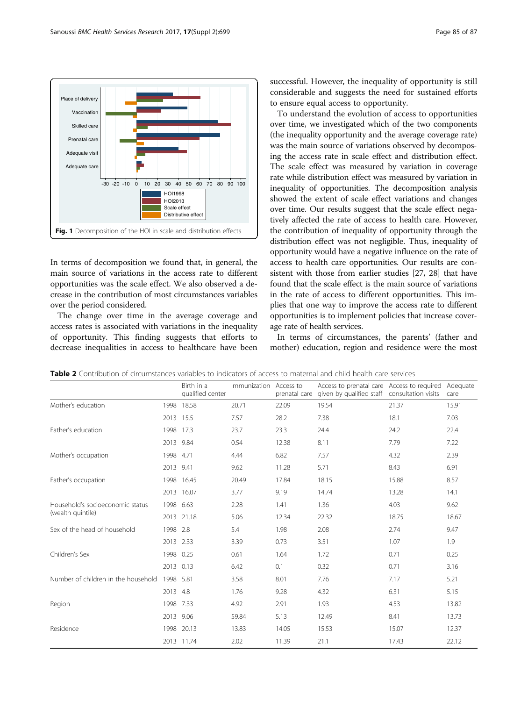<span id="page-4-0"></span>

In terms of decomposition we found that, in general, the main source of variations in the access rate to different opportunities was the scale effect. We also observed a decrease in the contribution of most circumstances variables over the period considered.

The change over time in the average coverage and access rates is associated with variations in the inequality of opportunity. This finding suggests that efforts to decrease inequalities in access to healthcare have been successful. However, the inequality of opportunity is still considerable and suggests the need for sustained efforts to ensure equal access to opportunity.

To understand the evolution of access to opportunities over time, we investigated which of the two components (the inequality opportunity and the average coverage rate) was the main source of variations observed by decomposing the access rate in scale effect and distribution effect. The scale effect was measured by variation in coverage rate while distribution effect was measured by variation in inequality of opportunities. The decomposition analysis showed the extent of scale effect variations and changes over time. Our results suggest that the scale effect negatively affected the rate of access to health care. However, the contribution of inequality of opportunity through the distribution effect was not negligible. Thus, inequality of opportunity would have a negative influence on the rate of access to health care opportunities. Our results are consistent with those from earlier studies [\[27, 28\]](#page-6-0) that have found that the scale effect is the main source of variations in the rate of access to different opportunities. This implies that one way to improve the access rate to different opportunities is to implement policies that increase coverage rate of health services.

In terms of circumstances, the parents' (father and mother) education, region and residence were the most

Birth in a qualified center Immunization Access to prenatal care Access to prenatal care given by qualified staff Access to required consultation visits Adequate care Mother's education 1998 18.58 20.71 22.09 19.54 21.37 15.91 2013 15.5 7.57 28.2 7.38 18.1 7.03 Father's education **1998 17.3** 23.7 23.3 24.4 24.2 22.4 2013 9.84 0.54 12.38 8.11 7.79 7.22 Mother's occupation 1998 4.71 4.44 6.82 7.57 4.32 4.32 2.39 2013 9.41 9.62 11.28 5.71 8.43 6.91 Father's occupation 1998 16.45 20.49 17.84 18.15 15.88 8.57 2013 16.07 3.77 9.19 14.74 13.28 14.1 Household's socioeconomic status (wealth quintile) 1998 6.63 2.28 1.41 1.36 4.03 9.62 2013 21.18 5.06 12.34 22.32 18.75 18.67 Sex of the head of household 1998 2.8 5.4 1.98 2.08 2.74 9.47 2013 2.33 3.39 0.73 3.51 1.07 1.9 Children's Sex 1998 0.25 0.61 1.64 1.72 0.71 0.25 2013 0.13 6.42 0.1 0.32 0.71 3.16 Number of children in the household 1998 5.81 3.58 8.01 7.76 7.17 5.21 2013 4.8 1.76 9.28 4.32 6.31 5.15 Region 1998 7.33 4.92 2.91 1.93 4.53 13.82 13.82 13.82 13.82 2013 9.06 59.84 5.13 12.49 8.41 13.73 Residence 1998 20.13 13.83 14.05 15.53 15.07 12.37 2013 11.74 2.02 11.39 21.1 17.43 22.12

Table 2 Contribution of circumstances variables to indicators of access to maternal and child health care services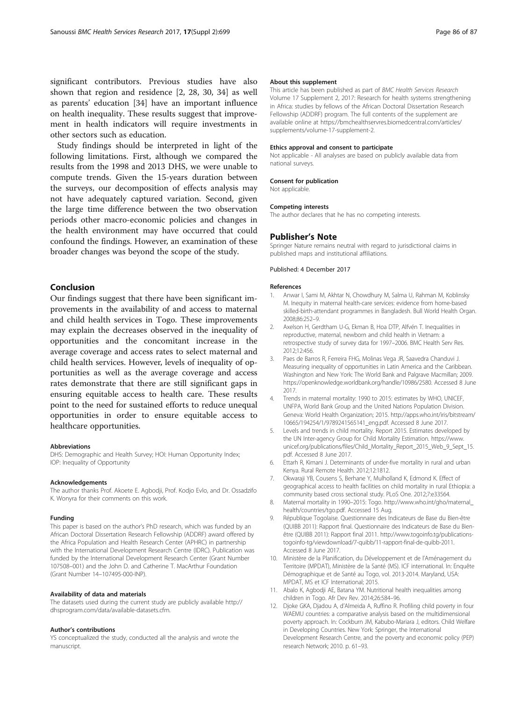<span id="page-5-0"></span>significant contributors. Previous studies have also shown that region and residence [2, [28, 30, 34\]](#page-6-0) as well as parents' education [\[34](#page-6-0)] have an important influence on health inequality. These results suggest that improvement in health indicators will require investments in other sectors such as education.

Study findings should be interpreted in light of the following limitations. First, although we compared the results from the 1998 and 2013 DHS, we were unable to compute trends. Given the 15-years duration between the surveys, our decomposition of effects analysis may not have adequately captured variation. Second, given the large time difference between the two observation periods other macro-economic policies and changes in the health environment may have occurred that could confound the findings. However, an examination of these broader changes was beyond the scope of the study.

## Conclusion

Our findings suggest that there have been significant improvements in the availability of and access to maternal and child health services in Togo. These improvements may explain the decreases observed in the inequality of opportunities and the concomitant increase in the average coverage and access rates to select maternal and child health services. However, levels of inequality of opportunities as well as the average coverage and access rates demonstrate that there are still significant gaps in ensuring equitable access to health care. These results point to the need for sustained efforts to reduce unequal opportunities in order to ensure equitable access to healthcare opportunities.

#### Abbreviations

DHS: Demographic and Health Survey; HOI: Human Opportunity Index; IOP: Inequality of Opportunity

#### Acknowledgements

The author thanks Prof. Akoete E. Agbodji, Prof. Kodjo Evlo, and Dr. Ossadzifo K. Wonyra for their comments on this work.

#### Funding

This paper is based on the author's PhD research, which was funded by an African Doctoral Dissertation Research Fellowship (ADDRF) award offered by the Africa Population and Health Research Center (APHRC) in partnership with the International Development Research Centre (IDRC). Publication was funded by the International Development Research Center (Grant Number 107508–001) and the John D. and Catherine T. MacArthur Foundation (Grant Number 14–107495-000-INP).

#### Availability of data and materials

The datasets used during the current study are publicly available [http://](http://dhsprogram.com/data/available-datasets.cfm) [dhsprogram.com/data/available-datasets.cfm](http://dhsprogram.com/data/available-datasets.cfm).

#### Author's contributions

YS conceptualized the study, conducted all the analysis and wrote the manuscript.

#### About this supplement

This article has been published as part of BMC Health Services Research Volume 17 Supplement 2, 2017: Research for health systems strengthening in Africa: studies by fellows of the African Doctoral Dissertation Research Fellowship (ADDRF) program. The full contents of the supplement are available online at [https://bmchealthservres.biomedcentral.com/articles/](https://bmchealthservres.biomedcentral.com/articles/supplements/volume-17-supplement-2) [supplements/volume-17-supplement-2.](https://bmchealthservres.biomedcentral.com/articles/supplements/volume-17-supplement-2)

#### Ethics approval and consent to participate

Not applicable - All analyses are based on publicly available data from national surveys.

#### Consent for publication

Not applicable.

#### Competing interests

The author declares that he has no competing interests.

#### Publisher's Note

Springer Nature remains neutral with regard to jurisdictional claims in published maps and institutional affiliations.

#### Published: 4 December 2017

#### References

- 1. Anwar I, Sami M, Akhtar N, Chowdhury M, Salma U, Rahman M, Koblinsky M. Inequity in maternal health-care services: evidence from home-based skilled-birth-attendant programmes in Bangladesh. Bull World Health Organ. 2008;86:252–9.
- 2. Axelson H, Gerdtham U-G, Ekman B, Hoa DTP, Alfvén T. Inequalities in reproductive, maternal, newborn and child health in Vietnam: a retrospective study of survey data for 1997–2006. BMC Health Serv Res. 2012;12:456.
- 3. Paes de Barros R, Ferreira FHG, Molinas Vega JR, Saavedra Chanduvi J. Measuring inequality of opportunities in Latin America and the Caribbean. Washington and New York: The World Bank and Palgrave Macmillan; 2009. [https://openknowledge.worldbank.org/handle/10986/2580.](https://openknowledge.worldbank.org/handle/10986/2580) Accessed 8 June 2017.
- 4. Trends in maternal mortality: 1990 to 2015: estimates by WHO, UNICEF, UNFPA, World Bank Group and the United Nations Population Division. Geneva: World Health Organization; 2015. [http://apps.who.int/iris/bitstream/](http://apps.who.int/iris/bitstream/10665/194254/1/9789241565141_eng.pdf) [10665/194254/1/9789241565141\\_eng.pdf.](http://apps.who.int/iris/bitstream/10665/194254/1/9789241565141_eng.pdf) Accessed 8 June 2017.
- 5. Levels and trends in child mortality. Report 2015. Estimates developed by the UN Inter-agency Group for Child Mortality Estimation. [https://www.](https://www.unicef.org/publications/files/Child_Mortality_Report_2015_Web_9_Sept_15.pdf) [unicef.org/publications/files/Child\\_Mortality\\_Report\\_2015\\_Web\\_9\\_Sept\\_15.](https://www.unicef.org/publications/files/Child_Mortality_Report_2015_Web_9_Sept_15.pdf) [pdf](https://www.unicef.org/publications/files/Child_Mortality_Report_2015_Web_9_Sept_15.pdf). Accessed 8 June 2017.
- 6. Ettarh R, Kimani J. Determinants of under-five mortality in rural and urban Kenya. Rural Remote Health. 2012;12:1812.
- 7. Okwaraji YB, Cousens S, Berhane Y, Mulholland K, Edmond K. Effect of geographical access to health facilities on child mortality in rural Ethiopia: a community based cross sectional study. PLoS One. 2012;7:e33564.
- 8. Maternal mortality in 1990–2015: Togo. [http://www.who.int/gho/maternal\\_](http://www.who.int/gho/maternal_health/countries/tgo.pdf) [health/countries/tgo.pdf](http://www.who.int/gho/maternal_health/countries/tgo.pdf). Accessed 15 Aug.
- 9. République Togolaise. Questionnaire des Indicateurs de Base du Bien-être (QUIBB 2011): Rapport final. Questionnaire des Indicateurs de Base du Bienêtre (QUIBB 2011): Rapport final 2011. [http://www.togoinfo.tg/publications](http://www.togoinfo.tg/publications-togoinfo-tg/viewdownload/7-quibb/11-rapport-final-de-quibb-2011)[togoinfo-tg/viewdownload/7-quibb/11-rapport-final-de-quibb-2011.](http://www.togoinfo.tg/publications-togoinfo-tg/viewdownload/7-quibb/11-rapport-final-de-quibb-2011) Accessed 8 June 2017.
- 10. Ministère de la Planification, du Développement et de l'Aménagement du Territoire (MPDAT), Ministère de la Santé (MS). ICF international. In: Enquête Démographique et de Santé au Togo, vol. 2013-2014. Maryland, USA: MPDAT, MS et ICF International; 2015.
- 11. Abalo K, Agbodji AE, Batana YM. Nutritional health inequalities among children in Togo. Afr Dev Rev. 2014;26:584–96.
- 12. Djoke GKA, Djadou A, d'Almeida A, Ruffino R. Profiling child poverty in four WAEMU countries: a comparative analysis based on the multidimensional poverty approach. In: Cockburn JM, Kabubo-Mariara J, editors. Child Welfare in Developing Countries. New York: Springer, the International Development Research Centre, and the poverty and economic policy (PEP) research Network; 2010. p. 61–93.